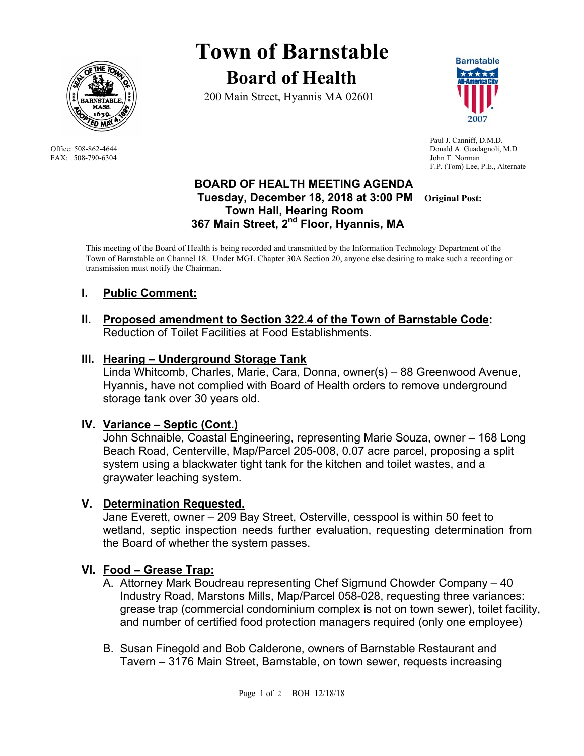

FAX: 508-790-6304 John T. Norman

# **Town of Barnstable Board of Health**

200 Main Street, Hyannis MA 02601



 Paul J. Canniff, D.M.D. Office: 508-862-4644 Donald A. Guadagnoli, M.D F.P. (Tom) Lee, P.E., Alternate

#### **BOARD OF HEALTH MEETING AGENDA Tuesday, December 18, 2018 at 3:00 PM Original Post: Town Hall, Hearing Room 367 Main Street, 2nd Floor, Hyannis, MA**

This meeting of the Board of Health is being recorded and transmitted by the Information Technology Department of the Town of Barnstable on Channel 18. Under MGL Chapter 30A Section 20, anyone else desiring to make such a recording or transmission must notify the Chairman.

# **I. Public Comment:**

**II. Proposed amendment to Section 322.4 of the Town of Barnstable Code:**  Reduction of Toilet Facilities at Food Establishments.

## **III. Hearing – Underground Storage Tank**

Linda Whitcomb, Charles, Marie, Cara, Donna, owner(s) – 88 Greenwood Avenue, Hyannis, have not complied with Board of Health orders to remove underground storage tank over 30 years old.

# **IV. Variance – Septic (Cont.)**

 John Schnaible, Coastal Engineering, representing Marie Souza, owner – 168 Long Beach Road, Centerville, Map/Parcel 205-008, 0.07 acre parcel, proposing a split system using a blackwater tight tank for the kitchen and toilet wastes, and a graywater leaching system.

# **V. Determination Requested.**

Jane Everett, owner – 209 Bay Street, Osterville, cesspool is within 50 feet to wetland, septic inspection needs further evaluation, requesting determination from the Board of whether the system passes.

# **VI. Food – Grease Trap:**

- A. Attorney Mark Boudreau representing Chef Sigmund Chowder Company 40 Industry Road, Marstons Mills, Map/Parcel 058-028, requesting three variances: grease trap (commercial condominium complex is not on town sewer), toilet facility, and number of certified food protection managers required (only one employee)
- B. Susan Finegold and Bob Calderone, owners of Barnstable Restaurant and Tavern – 3176 Main Street, Barnstable, on town sewer, requests increasing